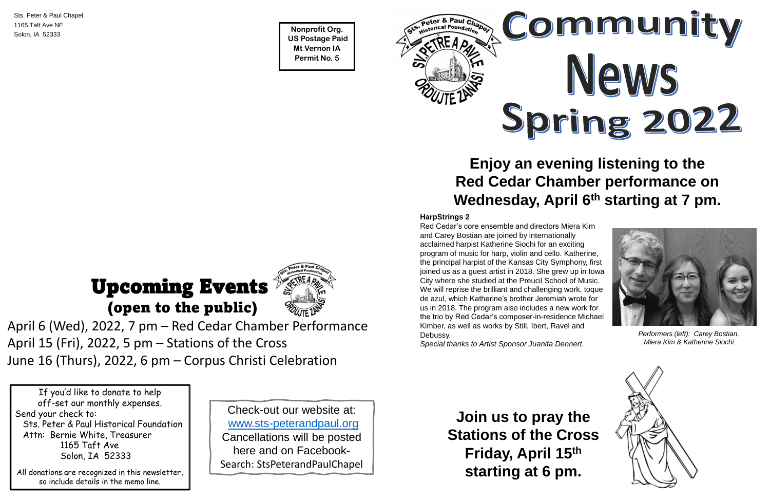**Nonprofit Org. US Postage Paid Mt Vernon IA Permit No. 5**



Sts. Peter & Paul Chapel 1165 Taft Ave NE Solon, IA 52333

If you'd like to donate to help off-set our monthly expenses. Send your check to: Sts. Peter & Paul Historical Foundation Attn: Bernie White, Treasurer 1165 Taft Ave Solon, IA 52333

All donations are recognized in this newsletter, so include details in the memo line.

April 6 (Wed), 2022, 7 pm – Red Cedar Chamber Performance April 15 (Fri), 2022, 5 pm – Stations of the Cross June 16 (Thurs), 2022, 6 pm – Corpus Christi Celebration

# Upcoming Events (open to the public)



#### **HarpStrings 2**

Red Cedar's core ensemble and directors Miera Kim and Carey Bostian are joined by internationally acclaimed harpist Katherine Siochi for an exciting program of music for harp, violin and cello. Katherine, the principal harpist of the Kansas City Symphony, first joined us as a guest artist in 2018. She grew up in Iowa City where she studied at the Preucil School of Music. We will reprise the brilliant and challenging work, toque de azul, which Katherine's brother Jeremiah wrote for us in 2018. The program also includes a new work for the trio by Red Cedar's composer-in-residence Michael Kimber, as well as works by Still, Ibert, Ravel and Debussy.

*Special thanks to Artist Sponsor Juanita Dennert.*

## **Enjoy an evening listening to the Red Cedar Chamber performance on Wednesday, April 6th starting at 7 pm.**



*Performers (left): Carey Bostian, Miera Kim & Katherine Siochi*



**Join us to pray the Stations of the Cross Friday, April 15th starting at 6 pm.** 

Check-out our website at: [www.sts-peterandpaul.org](http://www.sts-peterandpaul.org/) Cancellations will be posted here and on Facebook-Search: StsPeterandPaulChapel